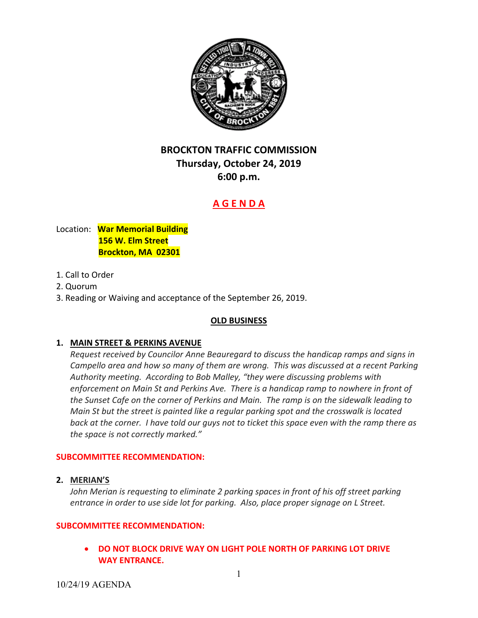

# **BROCKTON TRAFFIC COMMISSION Thursday, October 24, 2019 6:00 p.m.**

# **A G E N D A**

# Location: **War Memorial Building 156 W. Elm Street Brockton, MA 02301**

# 1. Call to Order

- 2. Quorum
- 3. Reading or Waiving and acceptance of the September 26, 2019.

#### **OLD BUSINESS**

# **1. MAIN STREET & PERKINS AVENUE**

 *Request received by Councilor Anne Beauregard to discuss the handicap ramps and signs in* Campello area and how so many of them are wrong. This was discussed at a recent Parking  *Authority meeting. According to Bob Malley, "they were discussing problems with* enforcement on Main St and Perkins Ave. There is a handicap ramp to nowhere in front of the Sunset Cafe on the corner of Perkins and Main. The ramp is on the sidewalk leading to Main St but the street is painted like a regular parking spot and the crosswalk is located back at the corner. I have told our guys not to ticket this space even with the ramp there as  *the space is not correctly marked."*

#### **SUBCOMMITTEE RECOMMENDATION:**

#### **2. MERIAN'S**

John Merian is requesting to eliminate 2 parking spaces in front of his off street parking entrance in order to use side lot for parking. Also, place proper signage on L Street.

#### **SUBCOMMITTEE RECOMMENDATION:**

 **DO NOT BLOCK DRIVE WAY ON LIGHT POLE NORTH OF PARKING LOT DRIVE WAY ENTRANCE.**

10/24/19 AGENDA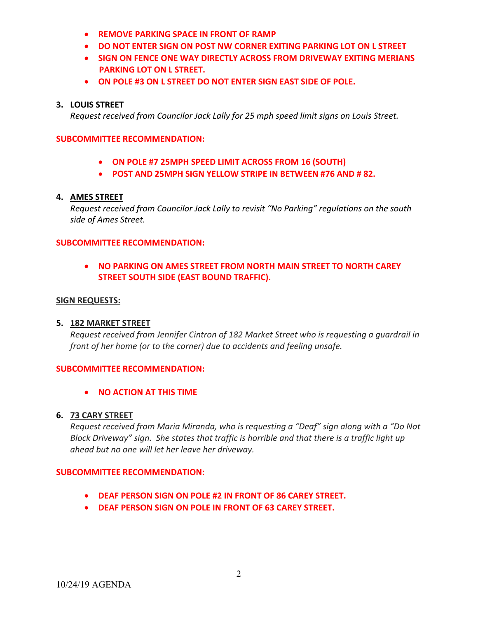- **REMOVE PARKING SPACE IN FRONT OF RAMP**
- **DO NOT ENTER SIGN ON POST NW CORNER EXITING PARKING LOT ON L STREET**
- **SIGN ON FENCE ONE WAY DIRECTLY ACROSS FROM DRIVEWAY EXITING MERIANS PARKING LOT ON L STREET.**
- **ON POLE #3 ON L STREET DO NOT ENTER SIGN EAST SIDE OF POLE.**

### **3. LOUIS STREET**

Request received from Councilor Jack Lally for 25 mph speed limit signs on Louis Street.

#### **SUBCOMMITTEE RECOMMENDATION:**

- **ON POLE #7 25MPH SPEED LIMIT ACROSS FROM 16 (SOUTH)**
- **POST AND 25MPH SIGN YELLOW STRIPE IN BETWEEN #76 AND # 82.**

### **4. AMES STREET**

 *Request received from Councilor Jack Lally to revisit "No Parking" regulations on the south side of Ames Street.*

#### **SUBCOMMITTEE RECOMMENDATION:**

# **NO PARKING ON AMES STREET FROM NORTH MAIN STREET TO NORTH CAREY STREET SOUTH SIDE (EAST BOUND TRAFFIC).**

#### **SIGN REQUESTS:**

# **5. 182 MARKET STREET**

Request received from Jennifer Cintron of 182 Market Street who is requesting a guardrail in  *front of her home (or to the corner) due to accidents and feeling unsafe.*

#### **SUBCOMMITTEE RECOMMENDATION:**

 **NO ACTION AT THIS TIME**

#### **6. 73 CARY STREET**

Request received from Maria Miranda, who is requesting a "Deaf" sign along with a "Do Not Block Driveway" sign. She states that traffic is horrible and that there is a traffic light up  *ahead but no one will let her leave her driveway.*

#### **SUBCOMMITTEE RECOMMENDATION:**

- **DEAF PERSON SIGN ON POLE #2 IN FRONT OF 86 CAREY STREET.**
- **DEAF PERSON SIGN ON POLE IN FRONT OF 63 CAREY STREET.**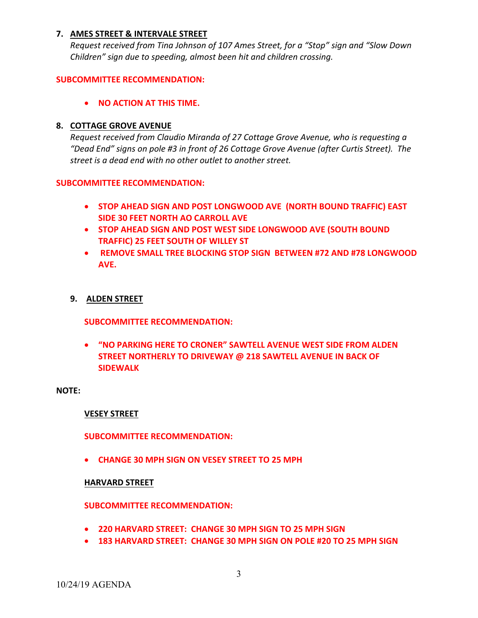# **7. AMES STREET & INTERVALE STREET**

Request received from Tina Johnson of 107 Ames Street, for a "Stop" sign and "Slow Down  *Children" sign due to speeding, almost been hit and children crossing.*

#### **SUBCOMMITTEE RECOMMENDATION:**

# **NO ACTION AT THIS TIME.**

# **8. COTTAGE GROVE AVENUE**

 *Request received from Claudio Miranda of 27 Cottage Grove Avenue, who is requesting a* "Dead End" signs on pole #3 in front of 26 Cottage Grove Avenue (after Curtis Street). The  *street is a dead end with no other outlet to another street.*

#### **SUBCOMMITTEE RECOMMENDATION:**

- **STOP AHEAD SIGN AND POST LONGWOOD AVE (NORTH BOUND TRAFFIC) EAST SIDE 30 FEET NORTH AO CARROLL AVE**
- **STOP AHEAD SIGN AND POST WEST SIDE LONGWOOD AVE (SOUTH BOUND TRAFFIC) 25 FEET SOUTH OF WILLEY ST**
- **REMOVE SMALL TREE BLOCKING STOP SIGN BETWEEN #72 AND #78 LONGWOOD AVE.**

# **9. ALDEN STREET**

**SUBCOMMITTEE RECOMMENDATION:**

 **"NO PARKING HERE TO CRONER" SAWTELL AVENUE WEST SIDE FROM ALDEN STREET NORTHERLY TO DRIVEWAY @ 218 SAWTELL AVENUE IN BACK OF SIDEWALK**

#### **NOTE:**

#### **VESEY STREET**

#### **SUBCOMMITTEE RECOMMENDATION:**

 **CHANGE 30 MPH SIGN ON VESEY STREET TO 25 MPH**

#### **HARVARD STREET**

#### **SUBCOMMITTEE RECOMMENDATION:**

- **220 HARVARD STREET: CHANGE 30 MPH SIGN TO 25 MPH SIGN**
- **183 HARVARD STREET: CHANGE 30 MPH SIGN ON POLE #20 TO 25 MPH SIGN**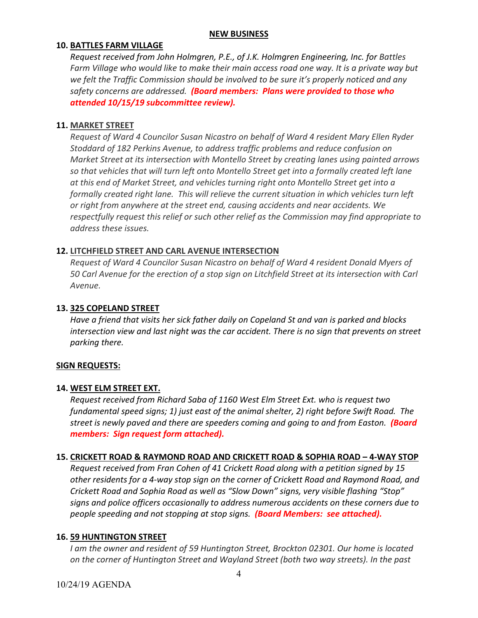#### **NEW BUSINESS**

#### **10. BATTLES FARM VILLAGE**

 *Request received from John Holmgren, P.E., of J.K. Holmgren Engineering, Inc. for Battles* Farm Village who would like to make their main access road one way. It is a private way but we felt the Traffic Commission should be involved to be sure it's properly noticed and any  *safety concerns are addressed. (Board members: Plans were provided to those who attended 10/15/19 subcommittee review).*

#### **11. MARKET STREET**

Request of Ward 4 Councilor Susan Nicastro on behalf of Ward 4 resident Mary Ellen Ryder  *Stoddard of 182 Perkins Avenue, to address traffic problems and reduce confusion on* Market Street at its intersection with Montello Street by creating lanes using painted arrows so that vehicles that will turn left onto Montello Street get into a formally created left lane at this end of Market Street, and vehicles turning right onto Montello Street get into a formally created right lane. This will relieve the current situation in which vehicles turn left  *or right from anywhere at the street end, causing accidents and near accidents. We* respectfully request this relief or such other relief as the Commission may find appropriate to  *address these issues.*

# **12. LITCHFIELD STREET AND CARL AVENUE INTERSECTION**

Request of Ward 4 Councilor Susan Nicastro on behalf of Ward 4 resident Donald Myers of 50 Carl Avenue for the erection of a stop sign on Litchfield Street at its intersection with Carl *Avenue.*

# **13. 325 COPELAND STREET**

Have a friend that visits her sick father daily on Copeland St and van is parked and blocks intersection view and last night was the car accident. There is no sign that prevents on street  *parking there.*

#### **SIGN REQUESTS:**

#### **14. WEST ELM STREET EXT.**

 *Request received from Richard Saba of 1160 West Elm Street Ext. who is request two* fundamental speed signs; 1) just east of the animal shelter, 2) right before Swift Road. The street is newly paved and there are speeders coming and going to and from Easton. (Board  *members: Sign request form attached).*

# <u>15. CRICKETT ROAD & RAYMOND ROAD AND CRICKETT ROAD & SOPHIA ROAD - 4-WAY STOP</u>

Request received from Fran Cohen of 41 Crickett Road along with a petition signed by 15 other residents for a 4-way stop sign on the corner of Crickett Road and Raymond Road, and Crickett Road and Sophia Road as well as "Slow Down" signs, very visible flashing "Stop" signs and police officers occasionally to address numerous accidents on these corners due to  *people speeding and not stopping at stop signs. (Board Members: see attached).*

#### **16. 59 HUNTINGTON STREET**

I am the owner and resident of 59 Huntington Street, Brockton 02301. Our home is located on the corner of Huntington Street and Wayland Street (both two way streets). In the past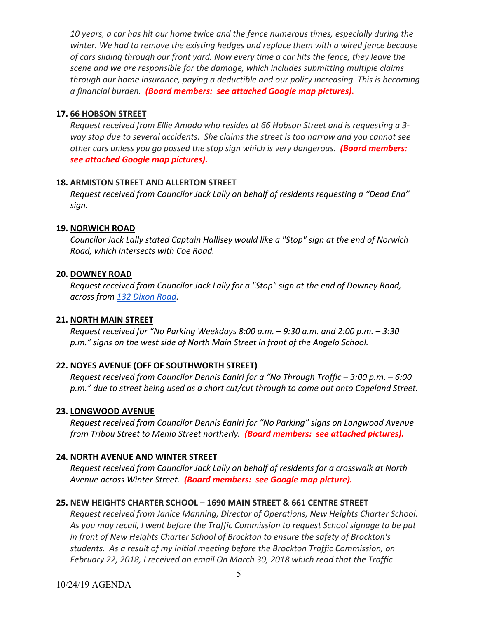10 years, a car has hit our home twice and the fence numerous times, especially during the winter. We had to remove the existing hedges and replace them with a wired fence because of cars sliding through our front yard. Now every time a car hits the fence, they leave the  *scene and we are responsible for the damage, which includes submitting multiple claims through our home insurance, paying a deductible and our policy increasing. This is becoming a financial burden. (Board members: see attached Google map pictures).*

# **17. 66 HOBSON STREET**

Request received from Ellie Amado who resides at 66 Hobson Street and is requesting a 3way stop due to several accidents. She claims the street is too narrow and you cannot see other cars unless you go passed the stop sign which is very dangerous. **(Board members:**  *see attached Google map pictures).*

# **18. ARMISTON STREET AND ALLERTON STREET**

 *Request received from Councilor Jack Lally on behalf of residents requesting a "Dead End" sign.*

# **19. NORWICH ROAD**

Councilor Jack Lally stated Captain Hallisey would like a "Stop" sign at the end of Norwich  *Road, which intersects with Coe Road.*

# **20. DOWNEY ROAD**

Request received from Councilor Jack Lally for a "Stop" sign at the end of Downey Road,  *across from 132 Dixon Road.*

# **21. NORTH MAIN STREET**

Request received for "No Parking Weekdays 8:00 a.m. – 9:30 a.m. and 2:00 p.m. – 3:30 p.m." signs on the west side of North Main Street in front of the Angelo School.

# **22. NOYES AVENUE (OFF OF SOUTHWORTH STREET)**

Request received from Councilor Dennis Eaniri for a "No Through Traffic – 3:00 p.m. – 6:00 p.m." due to street being used as a short cut/cut through to come out onto Copeland Street.

### **23. LONGWOOD AVENUE**

 *Request received from Councilor Dennis Eaniri for "No Parking" signs on Longwood Avenue from Tribou Street to Menlo Street northerly. (Board members: see attached pictures).*

# **24. NORTH AVENUE AND WINTER STREET**

Request received from Councilor Jack Lally on behalf of residents for a crosswalk at North  *Avenue across Winter Street. (Board members: see Google map picture).*

# **25. NEW HEIGHTS CHARTER SCHOOL – 1690 MAIN STREET & 661 CENTRE STREET**

 *Request received from Janice Manning, Director of Operations, New Heights Charter School:* As you may recall, I went before the Traffic Commission to request School signage to be put in front of New Heights Charter School of Brockton to ensure the safety of Brockton's students. As a result of my initial meeting before the Brockton Traffic Commission, on February 22, 2018, I received an email On March 30, 2018 which read that the Traffic